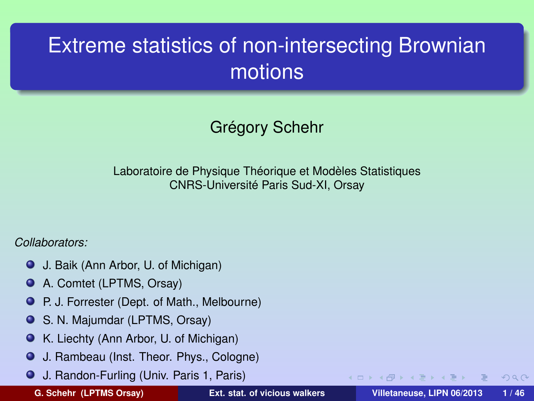# Extreme statistics of non-intersecting Brownian motions

Grégory Schehr

Laboratoire de Physique Théorique et Modèles Statistiques CNRS-Université Paris Sud-XI, Orsay

#### *Collaborators:*

- J. Baik (Ann Arbor, U. of Michigan)
- A. Comtet (LPTMS, Orsay)  $\bullet$
- P. J. Forrester (Dept. of Math., Melbourne)
- $\bullet$ S. N. Majumdar (LPTMS, Orsay)
- K. Liechty (Ann Arbor, U. of Michigan)
- J. Rambeau (Inst. Theor. Phys., Cologne) .
- J. Randon-Furling (Univ. Paris 1, Paris)

**G. Schehr (LPTMS Orsay) [Ext. stat. of vicious walkers](#page-67-0) Villetaneuse, LIPN 06/2013 1 / 46**

<span id="page-0-0"></span> $PQQ$ 

イロメ イ母 トイヨト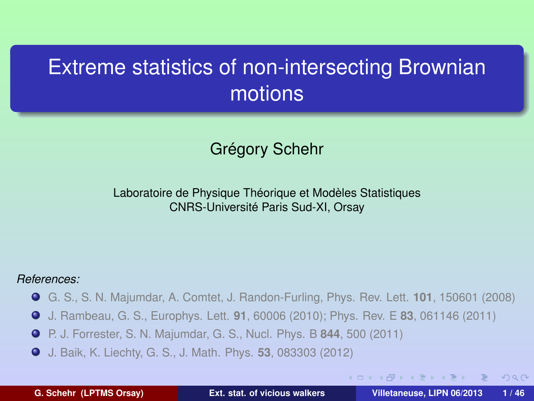### Extreme statistics of non-intersecting Brownian motions

#### Grégory Schehr

#### Laboratoire de Physique Théorique et Modèles Statistiques CNRS-Université Paris Sud-XI, Orsay

#### *References:*

- G. S., S. N. Majumdar, A. Comtet, J. Randon-Furling, Phys. Rev. Lett. **101**, 150601 (2008)
- J. Rambeau, G. S., Europhys. Lett. **91**, 60006 (2010); Phys. Rev. E **83**, 061146 (2011)
- P. J. Forrester, S. N. Majumdar, G. S., Nucl. Phys. B **844**, 500 (2011)
- J. Baik, K. Liechty, G. S., J. Math. Phys. **53**, 083303 (2012)

 $\Omega$ 

イロト イ母 トイヨ トイヨト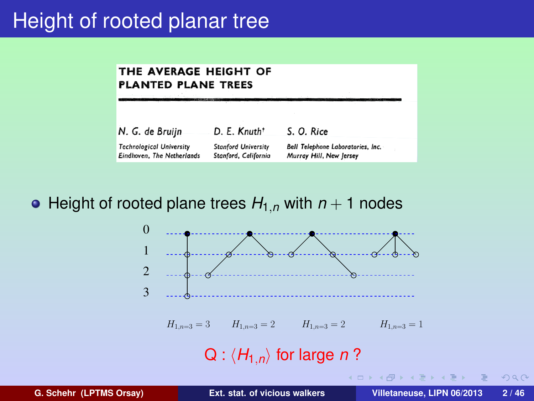### Height of rooted planar tree

#### THE AVERAGE HEIGHT OF **PLANTED PLANE TREES**

| N. G. de Bruijn                 | D. E. Knuth <sup>+</sup>   | S. O. Rice                        |
|---------------------------------|----------------------------|-----------------------------------|
| <b>Technological University</b> | <b>Stanford University</b> | Bell Telephone Laboratories, Inc. |
| Eindhoven, The Netherlands      | Stanford, California       | Murray Hill, New Jersey           |

• Height of rooted plane trees  $H_{1,n}$  with  $n+1$  nodes



Ξ

<span id="page-2-0"></span> $PQQ$ 

イロト イ母 トイヨ トイヨト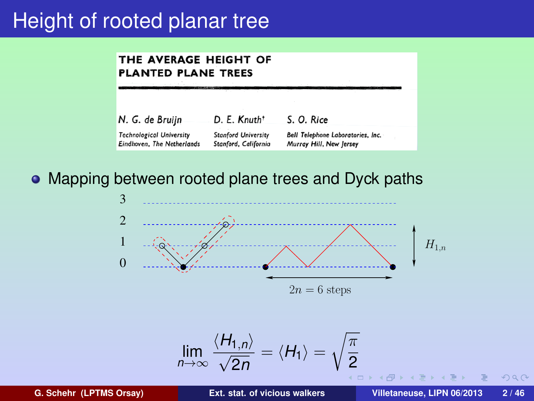### **Height of rooted planar tree**

#### THE AVERAGE HEIGHT OF **PLANTED PLANE TREES**

| N. G. de Bruijn                 | D. E. Knuth <sup>+</sup>   | S. O. Rice                        |
|---------------------------------|----------------------------|-----------------------------------|
| <b>Technological University</b> | <b>Stanford University</b> | Bell Telephone Laboratories, Inc. |
| Eindhoven, The Netherlands      | Stanford, California       | Murray Hill, New Jersey           |

#### • Mapping between rooted plane trees and Dyck paths



$$
\lim_{n\to\infty}\frac{\langle H_{1,n}\rangle}{\sqrt{2n}}=\langle H_1\rangle=\sqrt{\frac{\pi}{2}}
$$

 $PQQ$ 

**同 > < 三 >**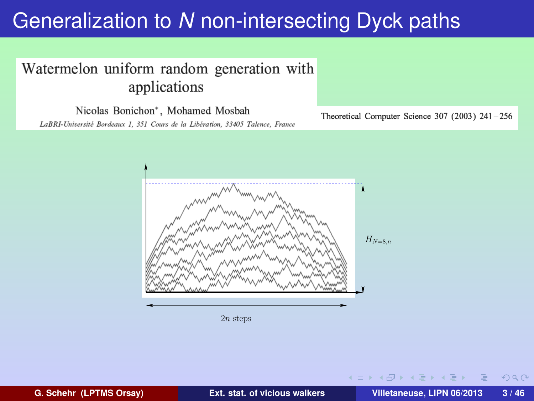#### Watermelon uniform random generation with applications

Nicolas Bonichon\*, Mohamed Mosbah

LaBRI-Université Bordeaux 1, 351 Cours de la Libération, 33405 Talence, France

Theoretical Computer Science 307 (2003)  $241-256$ 



2n steps

 $\Omega$ 

イロト イ母ト イヨト イヨ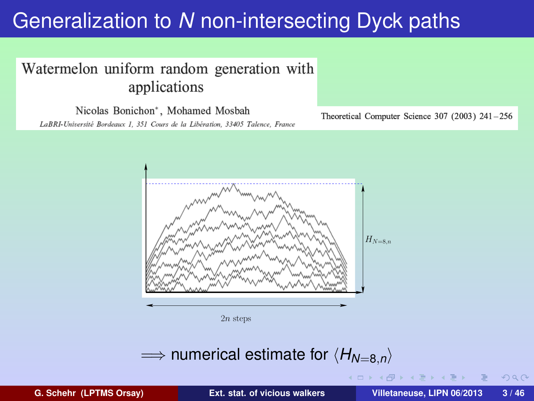#### Watermelon uniform random generation with applications

Nicolas Bonichon\*, Mohamed Mosbah

LaBRI-Université Bordeaux 1, 351 Cours de la Libération, 33405 Talence, France

Theoretical Computer Science 307 (2003)  $241-256$ 



 $2n$  steps

#### $\implies$  numerical estimate for  $\langle H_{N=8,n} \rangle$

 $\Omega$ 

 $($   $\sqcap$   $\rightarrow$   $($   $\mathsf{f} \mathsf{f} )$   $\rightarrow$   $\mathsf{f} \mathsf{f}$   $\rightarrow$   $\mathsf{f} \mathsf{f}$   $\rightarrow$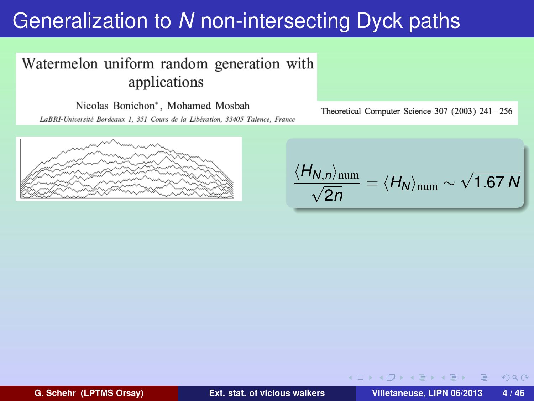#### Watermelon uniform random generation with applications

Nicolas Bonichon\*, Mohamed Mosbah LaBRI-Université Bordeaux 1, 351 Cours de la Libération, 33405 Talence, France



Theoretical Computer Science 307 (2003)  $241-256$ 

$$
\frac{\langle H_{N,n}\rangle_{\text{num}}}{\sqrt{2n}} = \langle H_N \rangle_{\text{num}} \sim \sqrt{1.67 N}
$$

イロト イ母ト イヨト イヨ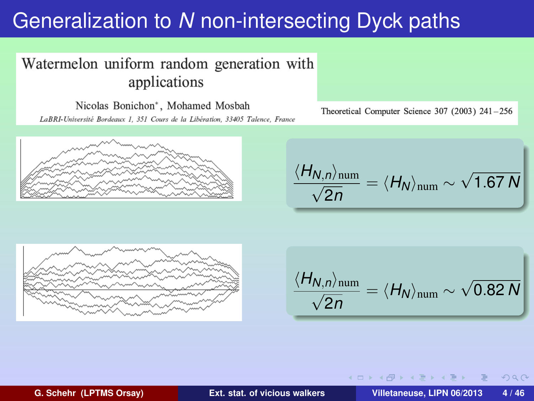#### Watermelon uniform random generation with applications

Nicolas Bonichon\*, Mohamed Mosbah LaBRI-Université Bordeaux 1, 351 Cours de la Libération, 33405 Talence, France



Theoretical Computer Science 307 (2003)  $241-256$ 

$$
\frac{\langle H_{N,n}\rangle_{\text{num}}}{\sqrt{2n}} = \langle H_N \rangle_{\text{num}} \sim \sqrt{1.67 N}
$$



$$
\frac{\langle H_{N,n}\rangle_{\text{num}}}{\sqrt{2n}} = \langle H_N \rangle_{\text{num}} \sim \sqrt{0.82 N}
$$

<span id="page-7-0"></span>イロメ イ何 メイヨ メイヨメ

**G. Schehr (LPTMS Orsay) [Ext. stat. of vicious walkers](#page-0-0) Villetaneuse, LIPN 06/2013 4 / 46**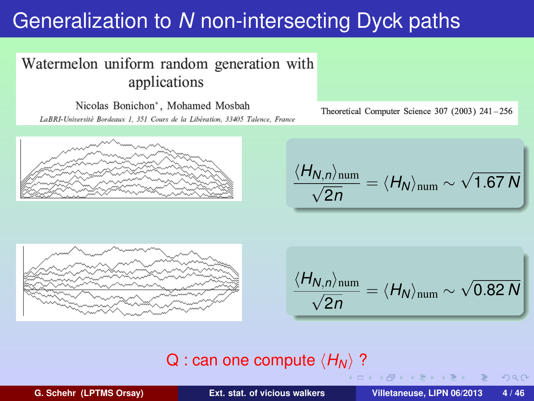#### Watermelon uniform random generation with applications

Nicolas Bonichon\*, Mohamed Mosbah LaBRI-Université Bordeaux 1, 351 Cours de la Libération, 33405 Talence, France



Theoretical Computer Science 307 (2003)  $241-256$ 

$$
\frac{\langle H_{N,n}\rangle_{\text{num}}}{\sqrt{2n}} = \langle H_N \rangle_{\text{num}} \sim \sqrt{1.67 N}
$$



$$
\frac{\langle H_{N,n}\rangle_{\text{num}}}{\sqrt{2n}} = \langle H_N \rangle_{\text{num}} \sim \sqrt{0.82 N}
$$

# $\mathsf{Q}$  : can one compute  $\langle H_N\rangle$  ?

**G. Schehr (LPTMS Orsay) [Ext. stat. of vicious walkers](#page-0-0) Villetaneuse, LIPN 06/2013 4 / 46**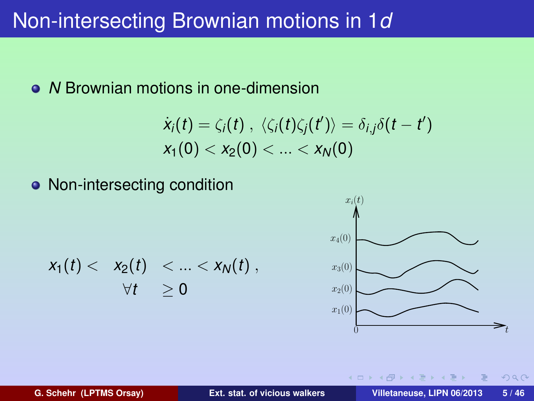### Non-intersecting Brownian motions in 1*d*

#### • *N* Brownian motions in one-dimension

$$
\dot{x}_i(t) = \zeta_i(t), \ \langle \zeta_i(t)\zeta_j(t')\rangle = \delta_{i,j}\delta(t-t')
$$
  

$$
x_1(0) < x_2(0) < \ldots < x_N(0)
$$

• Non-intersecting condition

$$
x_1(t) < x_2(t) < \ldots < x_N(t) ,
$$
\n
$$
\forall t \geq 0
$$



 $\rightarrow$   $\equiv$   $\rightarrow$ 

4 0 8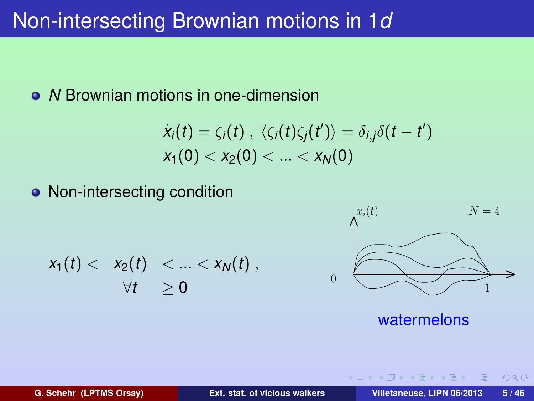### Non-intersecting Brownian motions in 1*d*

#### • *N* Brownian motions in one-dimension

$$
\dot{x}_i(t) = \zeta_i(t), \ \langle \zeta_i(t)\zeta_j(t') \rangle = \delta_{i,j}\delta(t-t')
$$
  

$$
x_1(0) < x_2(0) < \ldots < x_N(0)
$$

• Non-intersecting condition

$$
x_1(t) < x_2(t) < \ldots < x_N(t) ,
$$
\n
$$
\forall t \geq 0
$$



watermelons

イロト イ母ト イヨト イヨ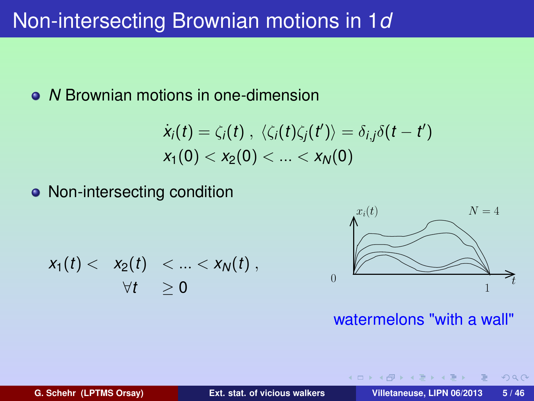### Non-intersecting Brownian motions in 1*d*

#### • *N* Brownian motions in one-dimension

$$
\dot{x}_i(t) = \zeta_i(t), \ \langle \zeta_i(t)\zeta_j(t')\rangle = \delta_{i,j}\delta(t-t')
$$
  

$$
x_1(0) < x_2(0) < \ldots < x_N(0)
$$

• Non-intersecting condition

$$
x_1(t) < x_2(t) < \ldots < x_N(t) ,
$$
\n
$$
\forall t \geq 0
$$



watermelons "with a wall"

イロト イ母ト イヨト イヨ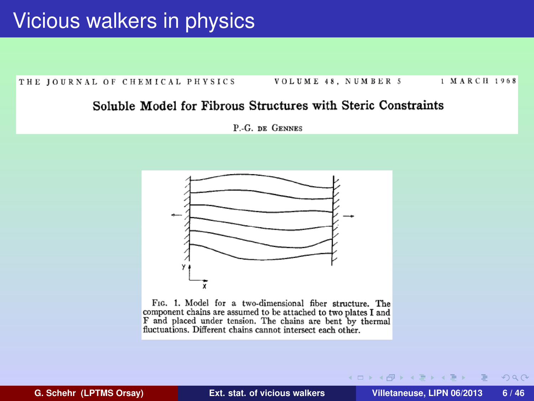1 MARCH 1968 THE JOURNAL OF CHEMICAL PHYSICS VOLUME 48. NUMBER 5

#### Soluble Model for Fibrous Structures with Steric Constraints

P.-G. DE GENNES



FIG. 1. Model for a two-dimensional fiber structure. The component chains are assumed to be attached to two plates I and F and placed under tension. The chains are bent by thermal fluctuations. Different chains cannot intersect each other.

**G. Schehr (LPTMS Orsay) [Ext. stat. of vicious walkers](#page-0-0) Villetaneuse, LIPN 06/2013 6 / 46**

 $\Omega$ 

(ロ) (個) (目) (差)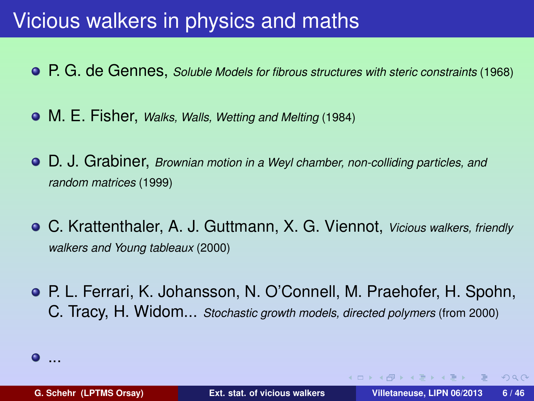### Vicious walkers in physics and maths

- P. G. de Gennes, *Soluble Models for fibrous structures with steric constraints* (1968)
- M. E. Fisher, *Walks, Walls, Wetting and Melting* (1984)
- D. J. Grabiner, *Brownian motion in a Weyl chamber, non-colliding particles, and random matrices* (1999)
- C. Krattenthaler, A. J. Guttmann, X. G. Viennot, *Vicious walkers, friendly walkers and Young tableaux* (2000)
- P. L. Ferrari, K. Johansson, N. O'Connell, M. Praehofer, H. Spohn, C. Tracy, H. Widom... *Stochastic growth models, directed polymers* (from 2000)



 $OQ$ 

イロト イ何ト イヨト イヨト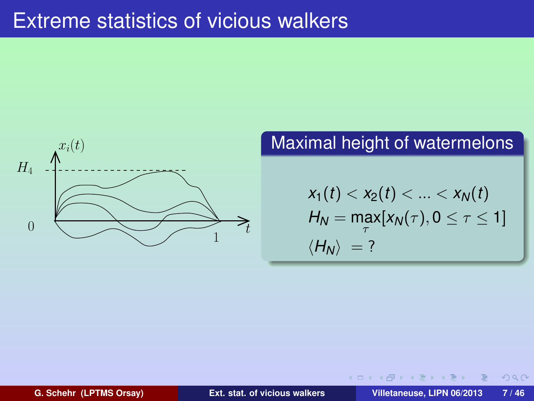### Extreme statistics of vicious walkers



### Maximal height of watermelons

$$
x_1(t) < x_2(t) < \ldots < x_N(t)
$$
\n
$$
H_N = \max_{\tau} [x_N(\tau), 0 \leq \tau \leq 1]
$$
\n
$$
\langle H_N \rangle = ?
$$

**K ロ ト K 伺 ト K ヨ ト K ヨ** 

**G. Schehr (LPTMS Orsay) [Ext. stat. of vicious walkers](#page-0-0) Villetaneuse, LIPN 06/2013 7 / 46**

 $PQQ$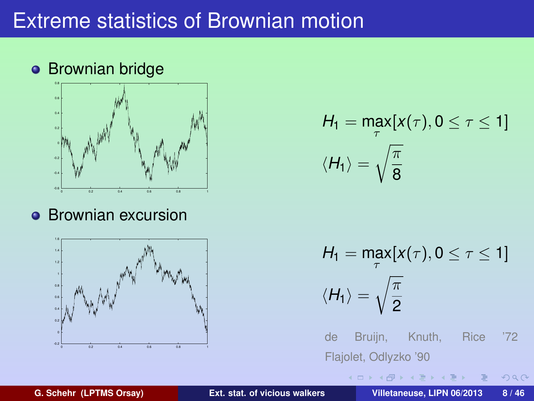### Extreme statistics of Brownian motion

### **•** Brownian bridge



**•** Brownian excursion



$$
H_1 = \max_{\tau} [x(\tau), 0 \le \tau \le 1]
$$

$$
\langle H_1 \rangle = \sqrt{\frac{\pi}{8}}
$$

$$
H_1 = \max_{\tau} [x(\tau), 0 \le \tau \le 1]
$$

$$
\langle H_1 \rangle = \sqrt{\frac{\pi}{2}}
$$

de Bruijn, Knuth, Rice '72 Flajolet, Odlyzko '90

イロメ イ何 メイヨ メイヨメ

Ξ

 $299$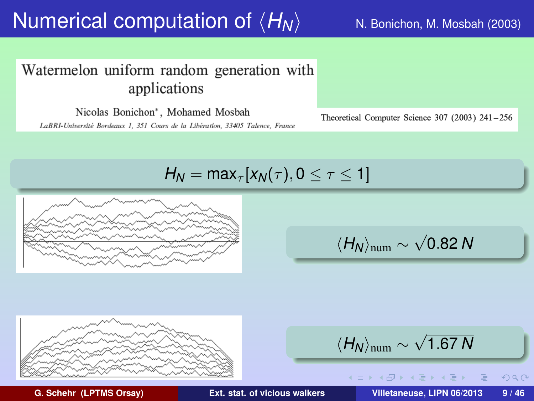#### Watermelon uniform random generation with applications

Nicolas Bonichon\*, Mohamed Mosbah

LaBRI-Université Bordeaux 1, 351 Cours de la Libération, 33405 Talence, France

Theoretical Computer Science 307 (2003)  $241-256$ 

*H*<sub>N</sub> = max<sub> $\tau$ </sub>[ $x_N(\tau)$ , 0  $\leq \tau \leq 1$ ]



$$
\langle H_N \rangle_{\text{num}} \sim \sqrt{0.82\,N}
$$



$$
\langle H_N \rangle_{\text{num}} \sim \sqrt{1.67\,N}
$$

(ロ) (個) (目) (差)

**G. Schehr (LPTMS Orsay) [Ext. stat. of vicious walkers](#page-0-0) Villetaneuse, LIPN 06/2013 9 / 46**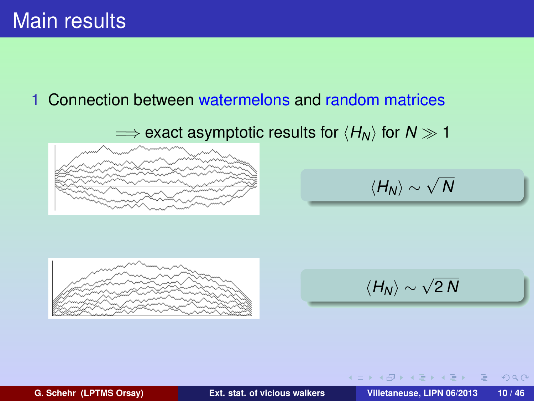### Main results

#### 1 Connection between watermelons and random matrices

 $\implies$  exact asymptotic results for  $\langle H_N \rangle$  for  $N \gg 1$ 



$$
\langle H_N \rangle \sim \sqrt{N}
$$



$$
\langle H_N \rangle \sim \sqrt{2\,N}
$$

**K ロ ト K 伺 ト K ヨ ト K ヨ ト** 

**G. Schehr (LPTMS Orsay) [Ext. stat. of vicious walkers](#page-0-0) Villetaneuse, LIPN 06/2013 10 / 46**

 $PQQ$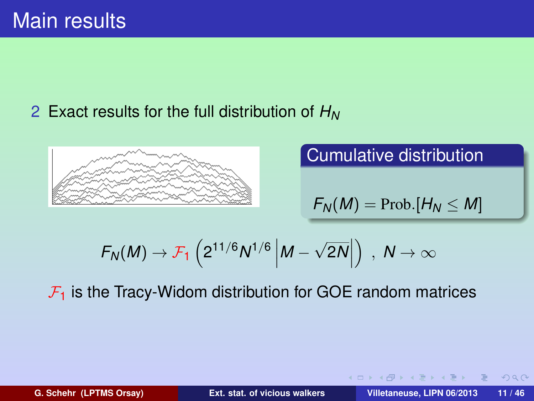### 2 Exact results for the full distribution of *H<sup>N</sup>*



Cumulative distribution

$$
F_N(M) = \text{Prob.}[H_N \leq M]
$$

$$
F_N(M) \to \mathcal{F}_1\left(2^{11/6}N^{1/6}\left|M-\sqrt{2N}\right|\right) , N \to \infty
$$

 $\mathcal{F}_1$  is the Tracy-Widom distribution for GOE random matrices

 $A$ 

**K ロ ト K 伺 ト K ヨ ト K ヨ ト**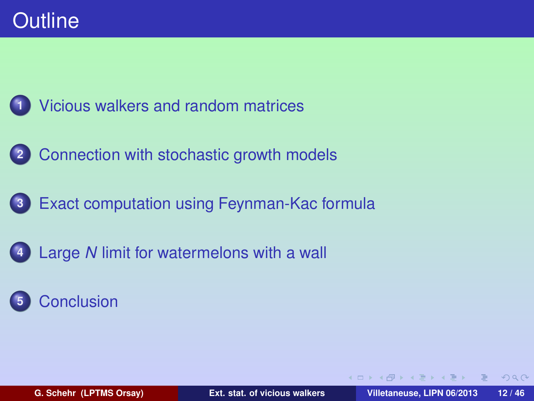

- **2** [Connection with stochastic growth models](#page-34-0)
- **3** [Exact computation using Feynman-Kac formula](#page-44-0)
	- **4** Large *N* [limit for watermelons with a wall](#page-55-0)

### **5** [Conclusion](#page-61-0)

<span id="page-19-0"></span> $OQ$ 

イロト イ母 トイヨ トイヨト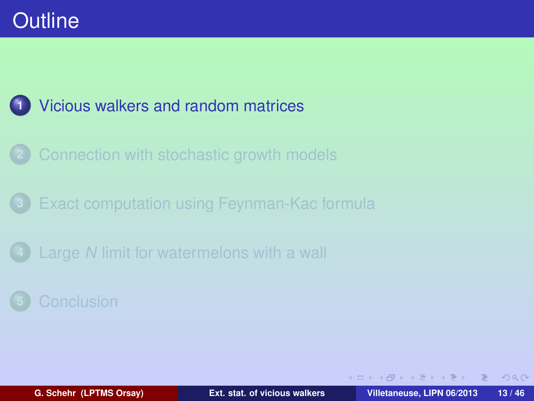### **1** [Vicious walkers and random matrices](#page-20-0)

- **2** [Connection with stochastic growth models](#page-34-0)
- **3** [Exact computation using Feynman-Kac formula](#page-44-0)
- **4** Large *N* [limit for watermelons with a wall](#page-55-0)

<span id="page-20-0"></span> $PQQ$ 

イロト イ母 トイヨ トイヨト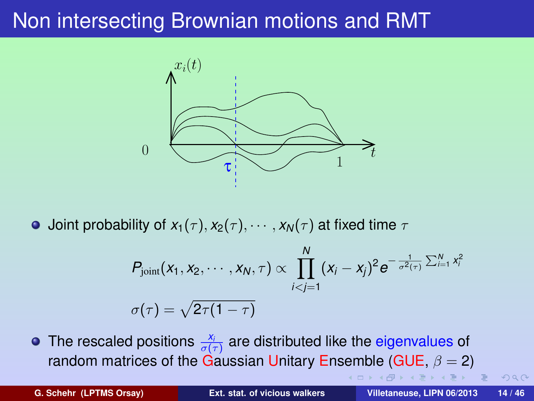

**•** Joint probability of  $x_1(\tau)$ ,  $x_2(\tau)$ ,  $\cdots$ ,  $x_N(\tau)$  at fixed time  $\tau$ 

$$
P_{\text{joint}}(x_1, x_2, \cdots, x_N, \tau) \propto \prod_{i < j = 1}^N (x_i - x_j)^2 e^{-\frac{1}{\sigma^2(\tau)} \sum_{i=1}^N x_i^2}
$$

$$
\sigma(\tau) = \sqrt{2\tau(1-\tau)}
$$

The rescaled positions  $\frac{x_i}{\sigma(\tau)}$  are distributed like the eigenvalues of random matrices of the Gaussian Unitary Ensemble (GUE,  $\beta = 2$ )

<span id="page-21-0"></span>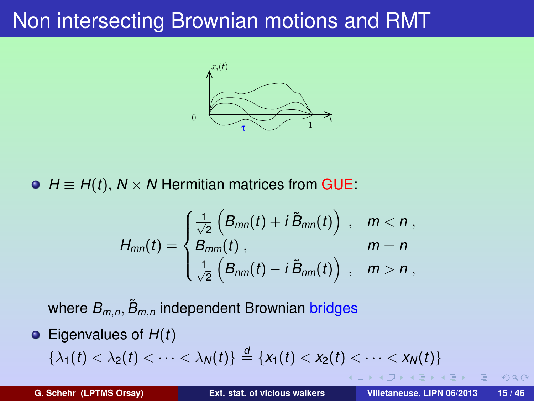

 $\Theta$  *H*  $\equiv$  *H*(*t*), *N* × *N* Hermitian matrices from GUE:

$$
H_{mn}(t) = \begin{cases} \frac{1}{\sqrt{2}} \left( B_{mn}(t) + i \tilde{B}_{mn}(t) \right) , & m < n ,\\ B_{mm}(t) , & m = n \\ \frac{1}{\sqrt{2}} \left( B_{nm}(t) - i \tilde{B}_{nm}(t) \right) , & m > n , \end{cases}
$$

where  $B_{m,n}$ ,  $\tilde{B}_{m,n}$  independent Brownian bridges

Eigenvalues of *H*(*t*)  $\{\lambda_1(t) < \lambda_2(t) < \cdots < \lambda_N(t)\} \stackrel{d}{=} \{x_1(t) < x_2(t) < \cdots < x_N(t)\}$  $\{\lambda_1(t) < \lambda_2(t) < \cdots < \lambda_N(t)\} \stackrel{d}{=} \{x_1(t) < x_2(t) < \cdots < x_N(t)\}$  $\{\lambda_1(t) < \lambda_2(t) < \cdots < \lambda_N(t)\} \stackrel{d}{=} \{x_1(t) < x_2(t) < \cdots < x_N(t)\}$  $\{\lambda_1(t) < \lambda_2(t) < \cdots < \lambda_N(t)\} \stackrel{d}{=} \{x_1(t) < x_2(t) < \cdots < x_N(t)\}$  $\{\lambda_1(t) < \lambda_2(t) < \cdots < \lambda_N(t)\} \stackrel{d}{=} \{x_1(t) < x_2(t) < \cdots < x_N(t)\}$ 

<span id="page-22-0"></span> $A$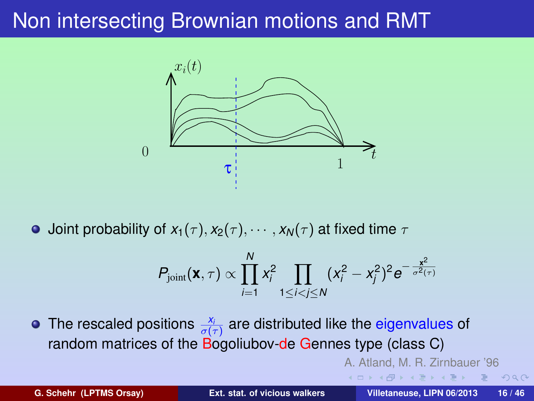

**•** Joint probability of  $x_1(\tau)$ ,  $x_2(\tau)$ ,  $\cdots$ ,  $x_N(\tau)$  at fixed time  $\tau$ 

$$
P_{\text{joint}}(\mathbf{x}, \tau) \propto \prod_{i=1}^{N} x_i^2 \prod_{1 \leq i < j \leq N} (x_i^2 - x_j^2)^2 e^{-\frac{x^2}{\sigma^2(\tau)}}
$$

The rescaled positions  $\frac{x_i}{\sigma(\tau)}$  are distributed like the eigenvalues of random matrices of the Bogoliubov-de Gennes type (class C)

A. Atland, M. R. Zirnbauer '96

. . . . <del>.</del> . . . . . .

<span id="page-23-0"></span> $299$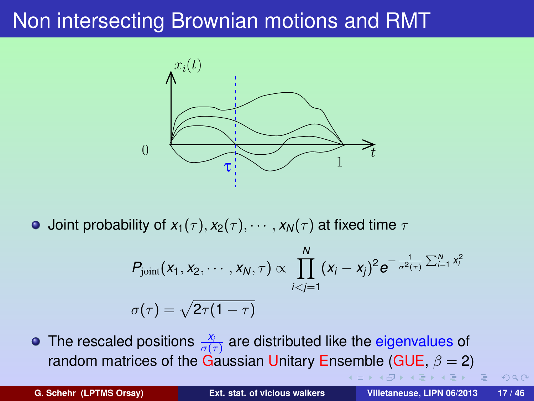

**•** Joint probability of  $x_1(\tau)$ ,  $x_2(\tau)$ ,  $\cdots$ ,  $x_N(\tau)$  at fixed time  $\tau$ 

$$
P_{\text{joint}}(x_1, x_2, \cdots, x_N, \tau) \propto \prod_{i < j = 1}^N (x_i - x_j)^2 e^{-\frac{1}{\sigma^2(\tau)} \sum_{i=1}^N x_i^2}
$$

$$
\sigma(\tau) = \sqrt{2\tau(1-\tau)}
$$

The rescaled positions  $\frac{x_i}{\sigma(\tau)}$  are distributed like the eigenvalues of random matrices of the Gaussian Unitary Ensemble (GUE,  $\beta = 2$ )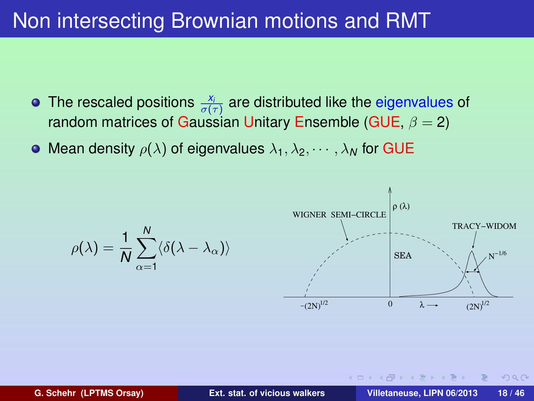- The rescaled positions  $\frac{x_i}{\sigma(\tau)}$  are distributed like the eigenvalues of random matrices of Gaussian Unitary Ensemble (GUE,  $\beta = 2$ )
- Mean density  $\rho(\lambda)$  of eigenvalues  $\lambda_1, \lambda_2, \cdots, \lambda_N$  for GUE

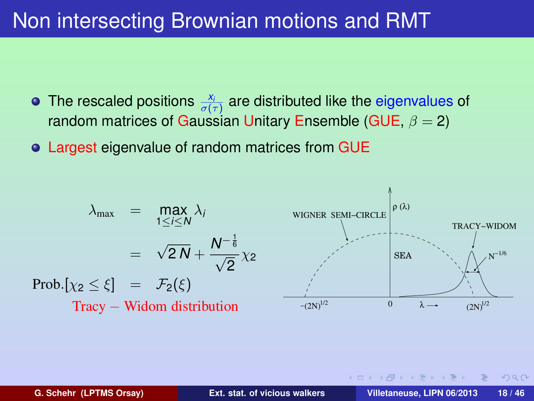- The rescaled positions  $\frac{x_i}{\sigma(\tau)}$  are distributed like the eigenvalues of random matrices of Gaussian Unitary Ensemble (GUE,  $\beta = 2$ )
- Largest eigenvalue of random matrices from GUE

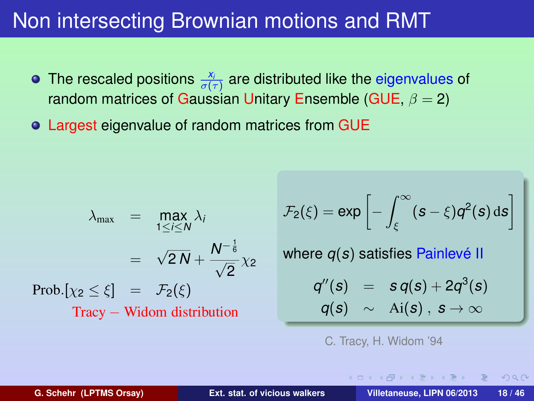- The rescaled positions  $\frac{x_i}{\sigma(\tau)}$  are distributed like the eigenvalues of random matrices of Gaussian Unitary Ensemble (GUE,  $\beta = 2$ )
- Largest eigenvalue of random matrices from GUE

$$
\lambda_{\max} = \max_{1 \le i \le N} \lambda_i
$$
  
=  $\sqrt{2N} + \frac{N^{-\frac{1}{6}}}{\sqrt{2}} \chi_2$   
Prob. $[\chi_2 \le \xi] = \mathcal{F}_2(\xi)$   
Tracy - Widom distribution

$$
\mathcal{F}_2(\xi) = \exp\left[-\int_{\xi}^{\infty} (s-\xi) q^2(s) \, \mathrm{d} s\right]
$$

where *q*(*s*) satisfies Painlevé II

$$
q''(s) = s q(s) + 2q^3(s)
$$
  

$$
q(s) \sim \text{Ai}(s), s \to \infty
$$

 $\left\{ \begin{array}{ccc} 1 & 1 & 1 & 1 \\ 1 & 1 & 1 & 1 \end{array} \right.$ 

C. Tracy, H. Widom '94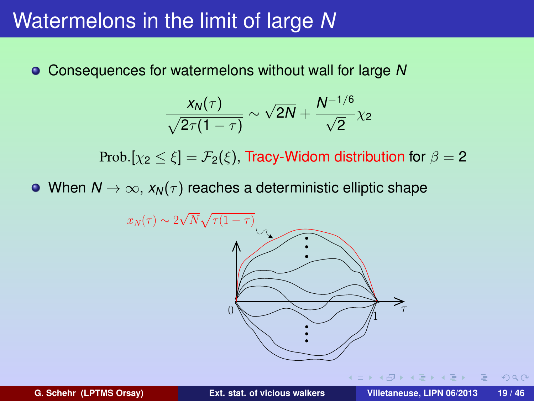### Watermelons in the limit of large *N*

Consequences for watermelons without wall for large *N*

$$
\frac{x_N(\tau)}{\sqrt{2\tau(1-\tau)}} \sim \sqrt{2N} + \frac{N^{-1/6}}{\sqrt{2}}\chi_2
$$

Prob.[ $\chi_2 < \xi$ ] =  $\mathcal{F}_2(\xi)$ . Tracy-Widom distribution for  $\beta = 2$ 

• When  $N \to \infty$ ,  $x_N(\tau)$  reaches a deterministic elliptic shape



 $OQ$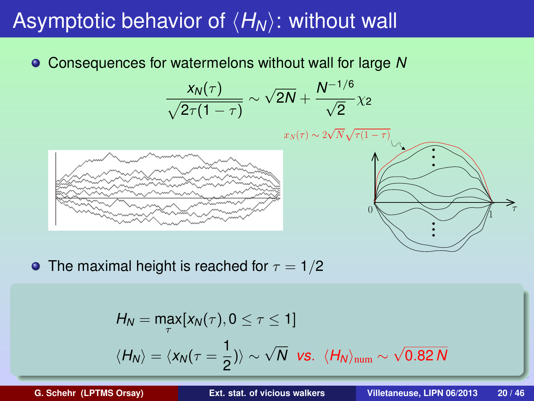## Asymptotic behavior of  $\langle H_N \rangle$ : without wall

Consequences for watermelons without wall for large *N*

$$
\frac{x_N(\tau)}{\sqrt{2\tau(1-\tau)}} \sim \sqrt{2N} + \frac{N^{-1/6}}{\sqrt{2}}\chi_2
$$





• The maximal height is reached for  $\tau = 1/2$ 

$$
H_N = \max_{\tau} [x_N(\tau), 0 \le \tau \le 1]
$$
  

$$
\langle H_N \rangle = \langle x_N(\tau = \frac{1}{2}) \rangle \sim \sqrt{N} \text{ vs. } \langle H_N \rangle_{\text{num}} \sim \sqrt{0.82 N}
$$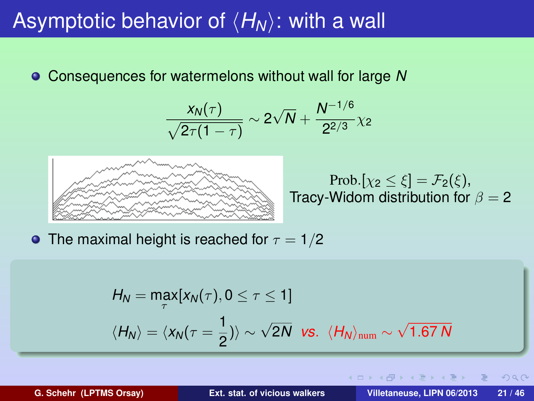### Asymptotic behavior of  $\langle H_N \rangle$ : with a wall

Consequences for watermelons without wall for large *N*

$$
\frac{x_N(\tau)}{\sqrt{2\tau(1-\tau)}} \sim 2\sqrt{N} + \frac{N^{-1/6}}{2^{2/3}}\chi_2
$$



Prob.[ $\chi_2 \leq \xi$ ] =  $\mathcal{F}_2(\xi)$ , Tracy-Widom distribution for  $\beta = 2$ 

イロメ イ何 メイヨ メイヨメ

• The maximal height is reached for  $\tau = 1/2$ 

$$
H_N = \max_{\tau} [x_N(\tau), 0 \le \tau \le 1]
$$
  

$$
\langle H_N \rangle = \langle x_N(\tau = \frac{1}{2}) \rangle \sim \sqrt{2N} \text{ vs. } \langle H_N \rangle_{\text{num}} \sim \sqrt{1.67 N}
$$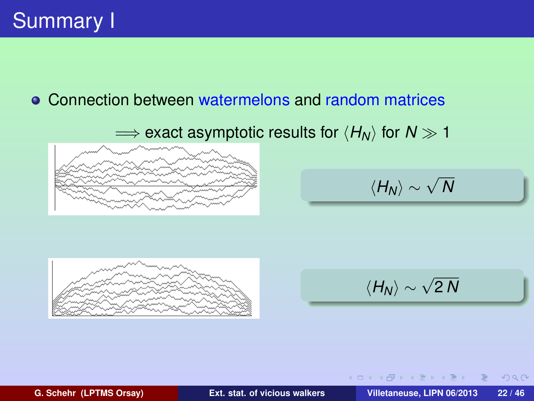### Connection between watermelons and random matrices

 $\implies$  exact asymptotic results for  $\langle H_N \rangle$  for  $N \gg 1$ 



$$
\langle H_N \rangle \sim \sqrt{N}
$$



$$
\langle H_N \rangle \sim \sqrt{2\,N}
$$

**K ロ ト K 伺 ト K ヨ ト K ヨ** 

**G. Schehr (LPTMS Orsay) [Ext. stat. of vicious walkers](#page-0-0) Villetaneuse, LIPN 06/2013 22 / 46**

 $PQQ$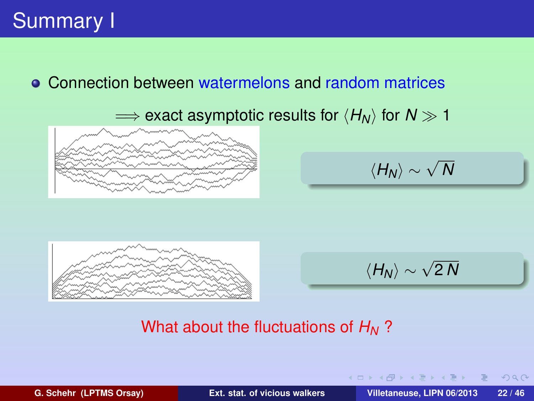#### Connection between watermelons and random matrices

 $\implies$  exact asymptotic results for  $\langle H_N \rangle$  for  $N \gg 1$ 



$$
\langle H_N \rangle \sim \sqrt{N}
$$



$$
\langle H_N \rangle \sim \sqrt{2\,N}
$$

**K ロ ト K 伺 ト K ヨ ト K ヨ ト** 

#### What about the fluctuations of *H<sup>N</sup>* ?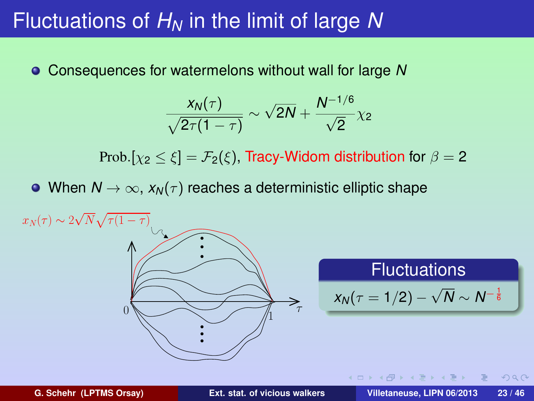### Fluctuations of *H<sup>N</sup>* in the limit of large *N*

Consequences for watermelons without wall for large *N*

$$
\frac{x_N(\tau)}{\sqrt{2\tau(1-\tau)}} \sim \sqrt{2N} + \frac{N^{-1/6}}{\sqrt{2}}\chi_2
$$

Prob. $[\chi_2 \leq \xi] = \mathcal{F}_2(\xi)$ , Tracy-Widom distribution for  $\beta = 2$ 

• When  $N \to \infty$ ,  $x_N(\tau)$  reaches a deterministic elliptic shape



**G. Schehr (LPTMS Orsay) [Ext. stat. of vicious walkers](#page-0-0) Villetaneuse, LIPN 06/2013 23 / 46**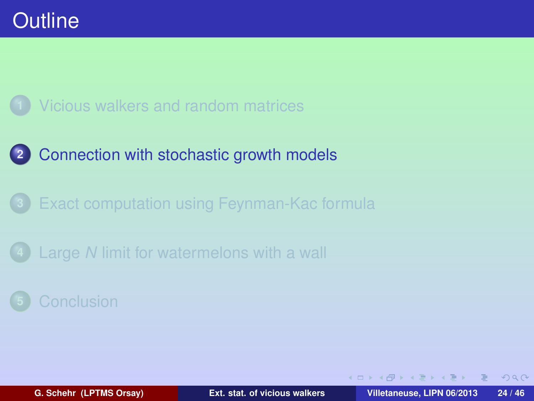

**2** [Connection with stochastic growth models](#page-34-0)

**3** [Exact computation using Feynman-Kac formula](#page-44-0)

**4** Large *N* [limit for watermelons with a wall](#page-55-0)

<span id="page-34-0"></span> $\Omega$ 

 $\left\{ \begin{array}{ccc} 1 & 0 & 0 \\ 0 & 1 & 0 \end{array} \right\}$  ,  $\left\{ \begin{array}{ccc} 0 & 0 & 0 \\ 0 & 0 & 0 \end{array} \right\}$  ,  $\left\{ \begin{array}{ccc} 0 & 0 & 0 \\ 0 & 0 & 0 \end{array} \right\}$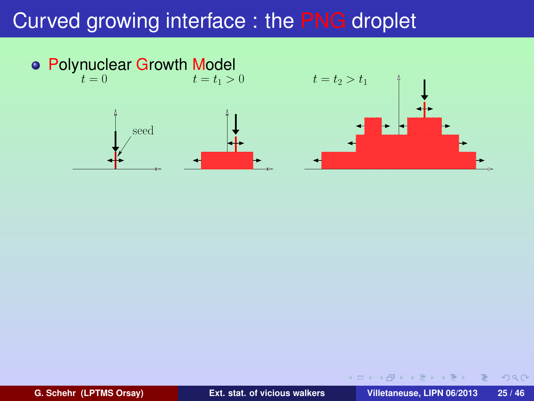

**G. Schehr (LPTMS Orsay) [Ext. stat. of vicious walkers](#page-0-0) Villetaneuse, LIPN 06/2013 25 / 46**

Ξ

 $2Q$ 

 $\sqrt{m}$   $\rightarrow$   $\sqrt{m}$   $\rightarrow$   $\sqrt{m}$ 

4 0 K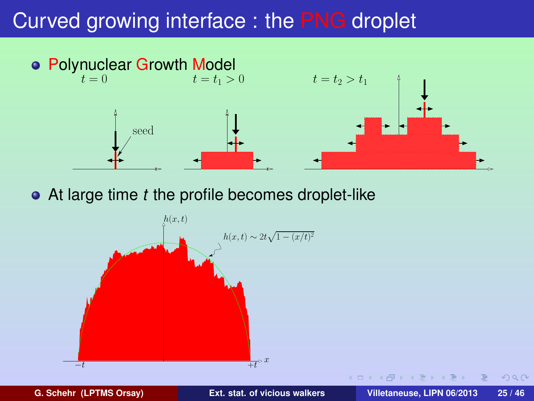

At large time *t* the profile becomes droplet-like



**G. Schehr (LPTMS Orsay) [Ext. stat. of vicious walkers](#page-0-0) Villetaneuse, LIPN 06/2013 25 / 46**

 $PQQ$ 

4 0 F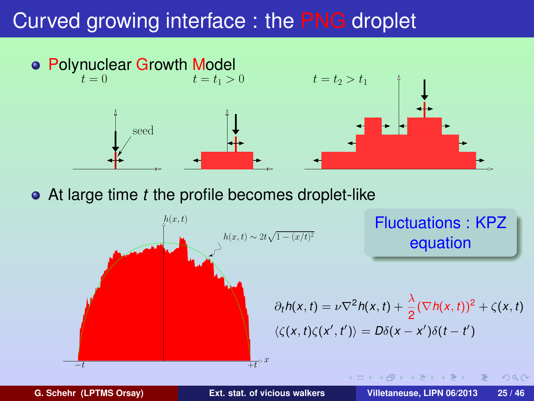

At large time *t* the profile becomes droplet-like

 $h(x,t)$  $h(x,t) \sim 2t\sqrt{1-(x/t)^2}$  $\frac{1}{t}t^{\mathbf{b}}x$ Fluctuations : KPZ equation  $\partial_t h(x,t) = \nu \nabla^2 h(x,t) + \frac{\lambda}{2} (\nabla h(x,t))^2 + \zeta(x,t)$  $\langle \zeta(x,t)\zeta(x',t')\rangle = D\delta(x-x')\delta(t-t')$ 

 $200$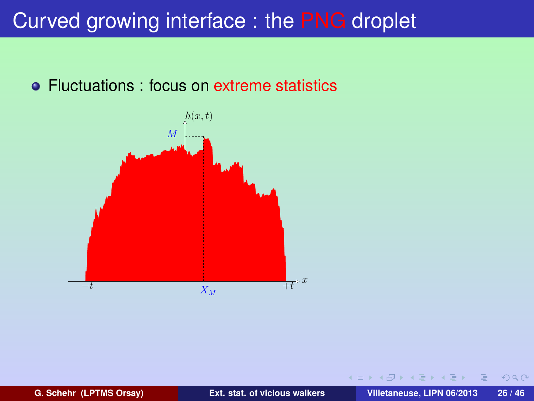#### • Fluctuations : focus on extreme statistics



 $PQQ$ 

 $\rightarrow$   $\equiv$   $\rightarrow$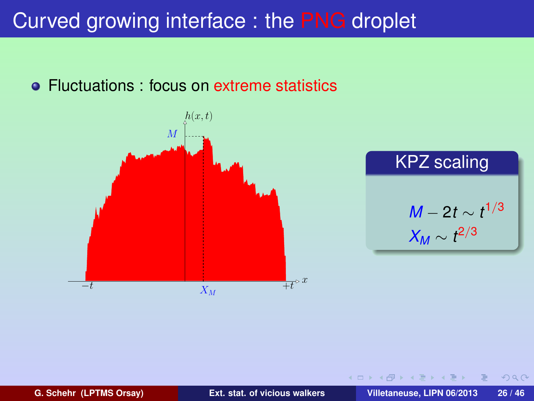#### • Fluctuations : focus on extreme statistics



 $PQQ$ 

 $\left\{ \bigcap \mathbb{P} \rightarrow \mathbb{R} \right.$   $\exists$ 

4 0 8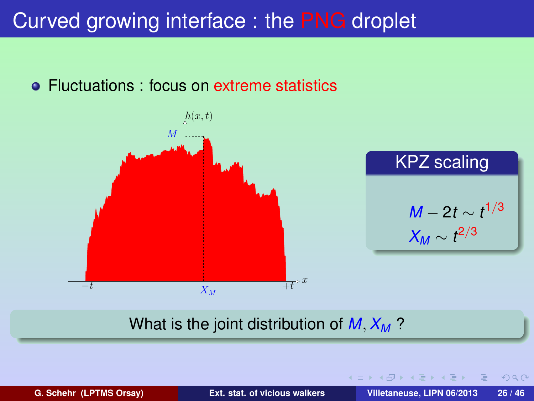#### **• Fluctuations : focus on extreme statistics**



#### What is the joint distribution of *M*, *X<sup>M</sup>* ?

**G. Schehr (LPTMS Orsay) [Ext. stat. of vicious walkers](#page-0-0) Villetaneuse, LIPN 06/2013 26 / 46**

イロト イ母ト イヨト イヨ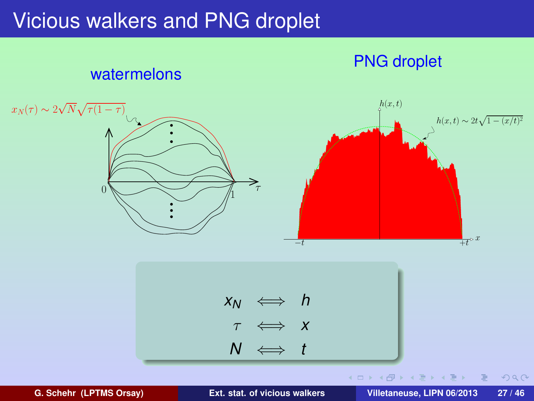### Vicious walkers and PNG droplet



<span id="page-41-0"></span>

**G. Schehr (LPTMS Orsay) [Ext. stat. of vicious walkers](#page-0-0) Villetaneuse, LIPN 06/2013 27 / 46**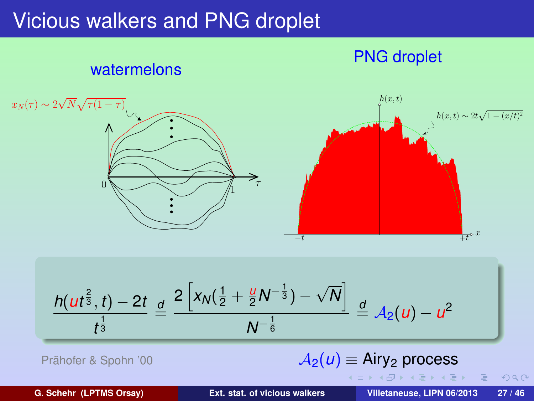### Vicious walkers and PNG droplet



$$
\frac{h(ut^{\frac{2}{3}},t)-2t}{t^{\frac{1}{3}}} \stackrel{d}{=} \frac{2\left[x_N(\frac{1}{2}+\frac{u}{2}N^{-\frac{1}{3}})-\sqrt{N}\right]}{N^{-\frac{1}{6}}} \stackrel{d}{=} A_2(u)-u^2
$$

| Prähofer & Spohn '00 | $\mathcal{A}_2(u) \equiv \text{Airy}_2 \text{ process}$ |
|----------------------|---------------------------------------------------------|
|----------------------|---------------------------------------------------------|

**G. Schehr (LPTMS Orsay) [Ext. stat. of vicious walkers](#page-0-0) Villetaneuse, LIPN 06/2013 27 / 46**

<span id="page-42-0"></span> $2Q$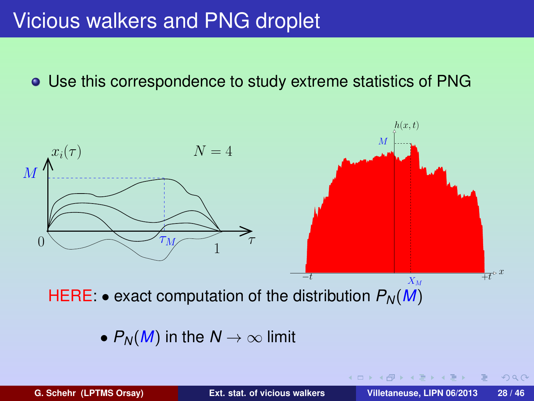### Vicious walkers and PNG droplet

#### Use this correspondence to study extreme statistics of PNG



•  $P_N(M)$  in the  $N \to \infty$  limit

**G. Schehr (LPTMS Orsay) [Ext. stat. of vicious walkers](#page-0-0) Villetaneuse, LIPN 06/2013 28 / 46**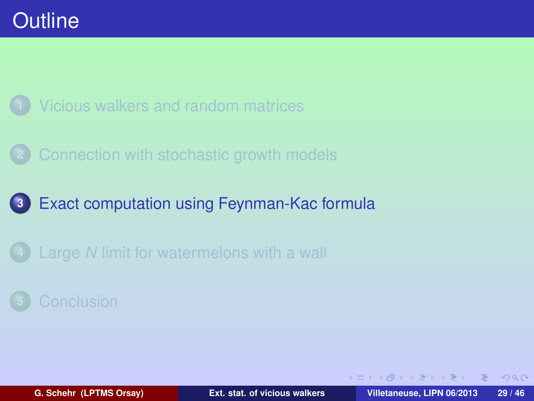

**2** [Connection with stochastic growth models](#page-34-0)

### **3** [Exact computation using Feynman-Kac formula](#page-44-0)

**4** Large *N* [limit for watermelons with a wall](#page-55-0)

<span id="page-44-0"></span> $PQQ$ 

 $\left\{ \begin{array}{ccc} 1 & 0 & 0 \\ 0 & 1 & 0 \end{array} \right\}$  ,  $\left\{ \begin{array}{ccc} 0 & 0 & 0 \\ 0 & 0 & 0 \end{array} \right\}$  ,  $\left\{ \begin{array}{ccc} 0 & 0 & 0 \\ 0 & 0 & 0 \end{array} \right\}$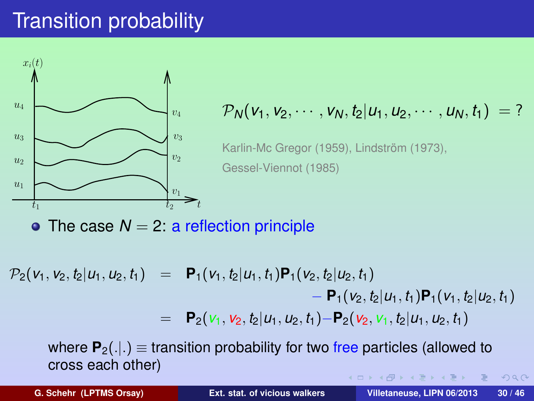## Transition probability



### $v_4$   $\longrightarrow v_4$   $\longrightarrow p_N(v_1, v_2, \cdots, v_N, t_2 | u_1, u_2, \cdots, u_N, t_1) = ?$

Karlin-Mc Gregor (1959), Lindström (1973), Gessel-Viennot (1985)

• The case  $N = 2$ : a reflection principle

 $\mathcal{P}_2(v_1, v_2, t_2 | u_1, u_2, t_1) = \mathbf{P}_1(v_1, t_2 | u_1, t_1) \mathbf{P}_1(v_2, t_2 | u_2, t_1)$  $- P_1(v_2, t_2|u_1, t_1)P_1(v_1, t_2|u_2, t_1)$  $=$  **P**<sub>2</sub>( $v_1$ ,  $v_2$ ,  $t_2|u_1, u_2, t_1$ )−**P**<sub>2</sub>( $v_2$ ,  $v_1$ ,  $t_2|u_1, u_2, t_1$ )

where  $P_2(.|.)$   $\equiv$  transition probability for two free particles (allowed to cross each other) **何 > ィヨ > ィヨ** 

 $PQQ$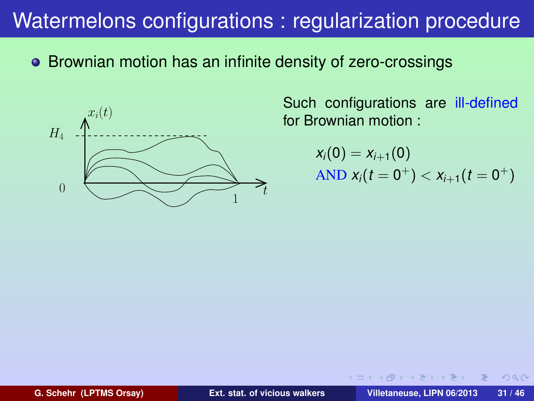### Watermelons configurations : regularization procedure

Brownian motion has an infinite density of zero-crossings



Such configurations are ill-defined for Brownian motion :

$$
x_i(0) = x_{i+1}(0)
$$
  
AND  $x_i(t = 0^+) < x_{i+1}(t = 0^+)$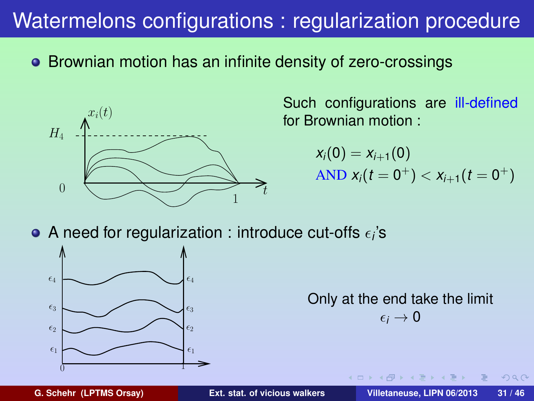### Watermelons configurations : regularization procedure

• Brownian motion has an infinite density of zero-crossings



Such configurations are ill-defined for Brownian motion :

> $x_i(0) = x_{i+1}(0)$  $\overline{AND} \; x_i(t=0^+) < x_{i+1}(t=0^+)$

A need for regularization : introduce cut-offs  $\epsilon_i$ 's



Only at the end take the limit  $\epsilon_i \rightarrow 0$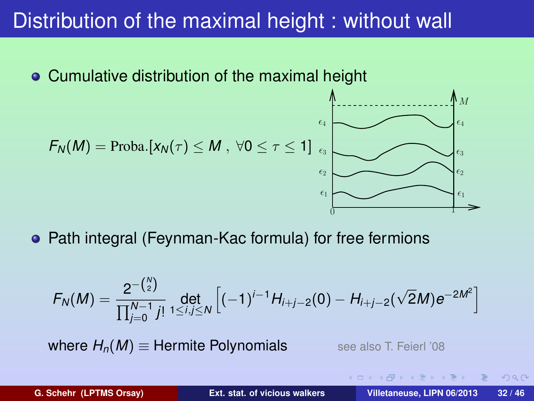### Distribution of the maximal height : without wall



$$
F_N(M) = \text{Proba.}[x_N(\tau) \leq M , \ \forall 0 \leq \tau \leq 1] \bigcap_{\epsilon_3 \atop \epsilon_1 \text{ mod } \epsilon_2} \bigcap_{\epsilon_2 \text{ mod } \epsilon_3} \bigcap_{\epsilon_4 \text{ mod } \epsilon_5} \bigcap_{\epsilon_6 \text{ mod } \epsilon_7} \bigcap_{\epsilon_7 \text{ mod } \epsilon_8} \bigcap_{\epsilon_8 \text{ mod } \epsilon_9} \bigcap_{\epsilon_9 \text{ mod } \epsilon_9} \bigcap_{\epsilon_9 \text{ mod } \epsilon_9} \bigcap_{\epsilon_1 \text{ mod } \epsilon_9} \bigcap_{\epsilon_1 \text{ mod } \epsilon_9} \bigcap_{\epsilon_1 \text{ mod } \epsilon_9} \bigcap_{\epsilon_1 \text{ mod } \epsilon_9} \bigcap_{\epsilon_1 \text{ mod } \epsilon_9} \bigcap_{\epsilon_1 \text{ mod } \epsilon_9} \bigcap_{\epsilon_1 \text{ mod } \epsilon_9} \bigcap_{\epsilon_1 \text{ mod } \epsilon_9} \bigcap_{\epsilon_1 \text{ mod } \epsilon_9} \bigcap_{\epsilon_1 \text{ mod } \epsilon_9} \bigcap_{\epsilon_1 \text{ mod } \epsilon_9} \bigcap_{\epsilon_1 \text{ mod } \epsilon_9} \bigcap_{\epsilon_1 \text{ mod } \epsilon_9} \bigcap_{\epsilon_1 \text{ mod } \epsilon_9} \bigcap_{\epsilon_1 \text{ mod } \epsilon_9} \bigcap_{\epsilon_1 \text{ mod } \epsilon_9} \bigcap_{\epsilon_1 \text{ mod } \epsilon_9} \bigcap_{\epsilon_1 \text{ mod } \epsilon_9} \bigcap_{\epsilon_1 \text{ mod } \epsilon_9} \bigcap_{\epsilon_1 \text{ mod } \epsilon_9} \bigcap_{\epsilon_1 \text{ mod } \epsilon_9} \bigcap_{\epsilon_1 \text{ mod } \epsilon_9} \bigcap_{\epsilon_1 \text{ mod } \epsilon_9} \bigcap_{\epsilon_1 \text{ mod } \epsilon_9} \bigcap_{\epsilon_1 \text{ mod } \epsilon_9} \bigcap_{\epsilon_1 \text{ mod } \epsilon_9} \bigcap_{\epsilon_1 \text{ mod } \epsilon_9} \bigcap_{\epsilon_1 \text{ mod } \epsilon_9} \bigcap_{\epsilon_1 \text{ mod } \epsilon_9} \bigcap_{\epsilon_1 \text{ mod } \epsilon_9} \bigcap_{\epsilon_1 \text{ mod } \epsilon_9} \bigcap_{\epsilon_1 \text{ mod
$$

• Path integral (Feynman-Kac formula) for free fermions

$$
F_N(M) = \frac{2^{-\binom{N}{2}}}{\prod_{j=0}^{N-1} j!} \det_{1 \leq i,j \leq N} \left[ (-1)^{i-1} H_{i+j-2}(0) - H_{i+j-2}(\sqrt{2}M) e^{-2M^2} \right]
$$

 $\epsilon_4$ 

**where**  $H_n(M) \equiv$  **Hermite Polynomials** see also T. Feierl '08

 $\frac{1}{1}$ 

**G. Schehr (LPTMS Orsay) [Ext. stat. of vicious walkers](#page-0-0) Villetaneuse, LIPN 06/2013 32 / 46**

 $\Omega$ 

 $\rightarrow$   $\equiv$   $\rightarrow$ 

**E**  $\epsilon_3$  $\epsilon_4$ 

 $M$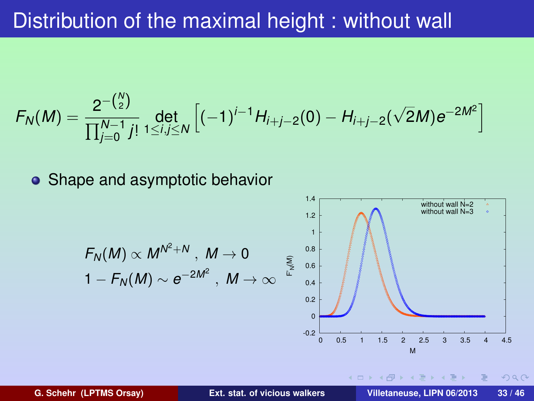### Distribution of the maximal height : without wall

$$
F_N(M) = \frac{2^{-\binom{N}{2}}}{\prod_{j=0}^{N-1} j!} \det_{1 \le i,j \le N} \left[ (-1)^{i-1} H_{i+j-2}(0) - H_{i+j-2}(\sqrt{2}M) e^{-2M^2} \right]
$$

• Shape and asymptotic behavior

$$
F_N(M) \propto M^{N^2+N}, M \to 0
$$
  
\n
$$
1 - F_N(M) \sim e^{-2M^2}, M \to \infty
$$
  
\n
$$
\sum_{\substack{0.8 \\ 0.2}}^{1.4}
$$
  
\n
$$
\sum_{\substack{0.8 \\ 0.4 \\ 0.2}}^{1.4}
$$
  
\n
$$
\sum_{\substack{0.8 \\ 0.6 \\ 0.5 \text{ 1 L5 } 2 \text{ 2.5 3 3.5 4 4.5} \\ \text{with out wall N=3 *}}}
$$
  
\nSince  $M$  is the sum of  $M$  in the interval N=4.5  
\n
$$
\sum_{\substack{0.2 \\ 0.5 \text{ 1 L5 } 2 \text{ 2.5 3 3.5 4 4.5} \\ \text{with out wall N=3 *}}}
$$
  
\n
$$
\sum_{\substack{0.2 \\ 0.5 \text{ 1 L5 } 2 \text{ 2.5 3 3.5 4 4.5} \\ \text{with only null N=3 *}}}
$$
  
\n
$$
\sum_{\substack{0.8 \\ 0.8 \\ 0.8 \\ 0.8 \\ \text{Cilletaneous, LIPN 06/2013 33/46}}}
$$

२०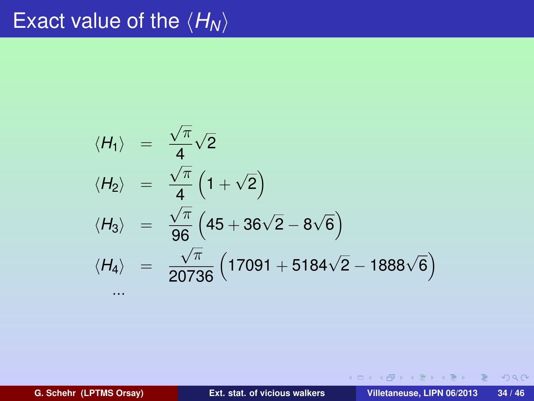# Exact value of the  $\langle \bar{H}_N \rangle$

$$
\langle H_1 \rangle = \frac{\sqrt{\pi}}{4} \sqrt{2}
$$
  
\n
$$
\langle H_2 \rangle = \frac{\sqrt{\pi}}{4} \left(1 + \sqrt{2}\right)
$$
  
\n
$$
\langle H_3 \rangle = \frac{\sqrt{\pi}}{96} \left(45 + 36\sqrt{2} - 8\sqrt{6}\right)
$$
  
\n
$$
\langle H_4 \rangle = \frac{\sqrt{\pi}}{20736} \left(17091 + 5184\sqrt{2} - 1888\sqrt{6}\right)
$$
  
\n...

**G. Schehr (LPTMS Orsay) [Ext. stat. of vicious walkers](#page-0-0) Villetaneuse, LIPN 06/2013 34 / 46**

イロンス 御い スミンス ミン

 $2990$ 

 $\equiv$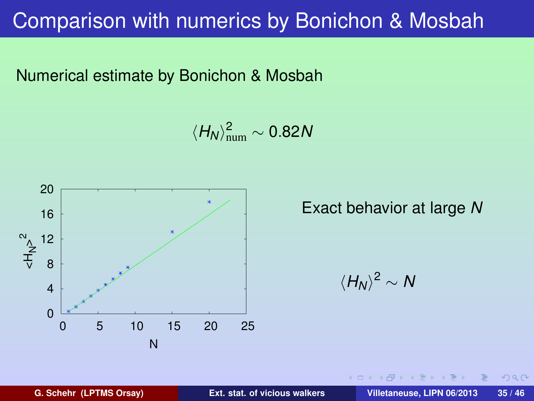### Comparison with numerics by Bonichon & Mosbah

Numerical estimate by Bonichon & Mosbah

 $\langle H_N \rangle^2_{\text{num}} \sim 0.82N$ 



Exact behavior at large *N*

 $\langle H_N \rangle^2$  ∼ *N* 

 $PQQ$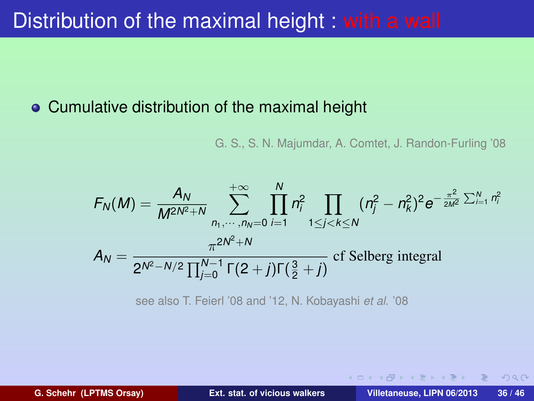### Distribution of the maximal height : with a wall

#### Cumulative distribution of the maximal height

G. S., S. N. Majumdar, A. Comtet, J. Randon-Furling '08

$$
F_N(M) = \frac{A_N}{M^{2N^2+N}} \sum_{n_1, \dots, n_N=0}^{+\infty} \prod_{i=1}^N n_i^2 \prod_{1 \le j < k \le N} (n_j^2 - n_k^2)^2 e^{-\frac{\pi^2}{2M^2} \sum_{i=1}^N n_i^2}
$$
\n
$$
A_N = \frac{\pi^{2N^2+N}}{2^{N^2-N/2} \prod_{j=0}^{N-1} \Gamma(2+j) \Gamma(\frac{3}{2}+j)} \text{ cf Selberg integral}
$$

see also T. Feierl '08 and '12, N. Kobayashi *et al.* '08

<span id="page-52-0"></span> $\Omega$ 

**K ロ ト K 伺 ト K ヨ ト K ヨ ト**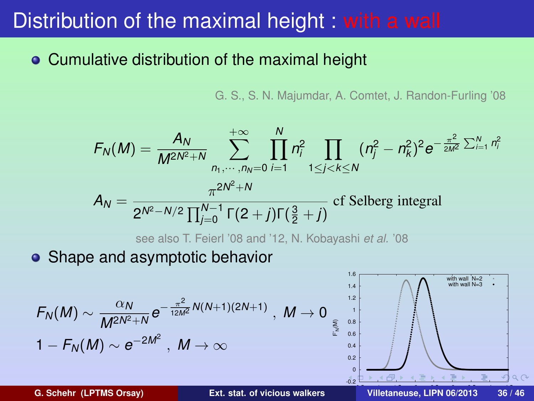### Distribution of the maximal height : with a wall

### Cumulative distribution of the maximal height

G. S., S. N. Majumdar, A. Comtet, J. Randon-Furling '08

$$
F_N(M) = \frac{A_N}{M^{2N^2+N}} \sum_{n_1, \dots, n_N=0}^{+\infty} \prod_{i=1}^N n_i^2 \prod_{1 \le j < k \le N} (n_j^2 - n_k^2)^2 e^{-\frac{\pi^2}{2M^2} \sum_{i=1}^N n_i^2}
$$
\n
$$
A_N = \frac{\pi^{2N^2+N}}{2^{N^2-N/2} \prod_{j=0}^{N-1} \Gamma(2+j) \Gamma(\frac{3}{2}+j)} \text{ cf. Selberg integral}
$$

see also T. Feierl '08 and '12, N. Kobayashi *et al.* '08

• Shape and asymptotic behavior

$$
F_N(M) \sim \frac{\alpha_N}{M^{2N^2+N}} e^{-\frac{\pi^2}{12M^2}N(N+1)(2N+1)}, \quad M \to 0
$$
  
 
$$
1 - F_N(M) \sim e^{-2M^2}, \quad M \to \infty
$$

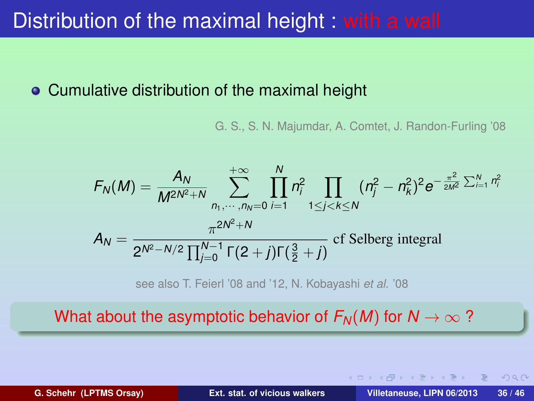### Distribution of the maximal height : with a wall

#### Cumulative distribution of the maximal height

G. S., S. N. Majumdar, A. Comtet, J. Randon-Furling '08

$$
F_N(M) = \frac{A_N}{M^{2N^2+N}} \sum_{n_1, \dots, n_N=0}^{+\infty} \prod_{i=1}^N n_i^2 \prod_{1 \le j < k \le N} (n_j^2 - n_k^2)^2 e^{-\frac{\pi^2}{2M^2} \sum_{i=1}^N n_i^2}
$$
\n
$$
A_N = \frac{\pi^{2N^2+N}}{2^{N^2-N/2} \prod_{j=0}^{N-1} \Gamma(2+j) \Gamma(\frac{3}{2}+j)} \text{ cf Selberg integral}
$$

see also T. Feierl '08 and '12, N. Kobayashi *et al.* '08

What about the asymptotic behavior of  $F_N(M)$  for  $N \to \infty$ ?

 $\Omega$ 

イロメ イ何 メイヨ メイヨメ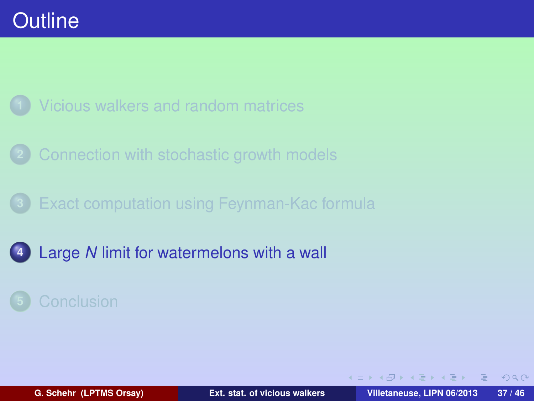

- **2** [Connection with stochastic growth models](#page-34-0)
- **3** [Exact computation using Feynman-Kac formula](#page-44-0)
- **4** Large *N* [limit for watermelons with a wall](#page-55-0)

<span id="page-55-0"></span> $\Omega$ 

 $\left\{ \begin{array}{ccc} 1 & 0 & 0 \\ 0 & 1 & 0 \end{array} \right\}$  ,  $\left\{ \begin{array}{ccc} 0 & 0 & 0 \\ 0 & 0 & 0 \end{array} \right\}$  ,  $\left\{ \begin{array}{ccc} 0 & 0 & 0 \\ 0 & 0 & 0 \end{array} \right\}$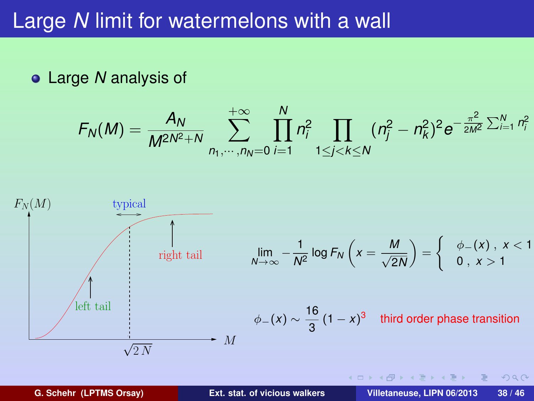### Large *N* limit for watermelons with a wall

Large *N* analysis of

$$
F_N(M) = \frac{A_N}{M^{2N^2+N}} \sum_{n_1,\dots,n_N=0}^{+\infty} \prod_{i=1}^N n_i^2 \prod_{1 \le j < k \le N} (n_j^2 - n_k^2)^2 e^{-\frac{\pi^2}{2M^2} \sum_{i=1}^N n_i^2}
$$



 $\equiv$ 

 $2Q$ 

イロト イ母 トイヨ トイヨ トー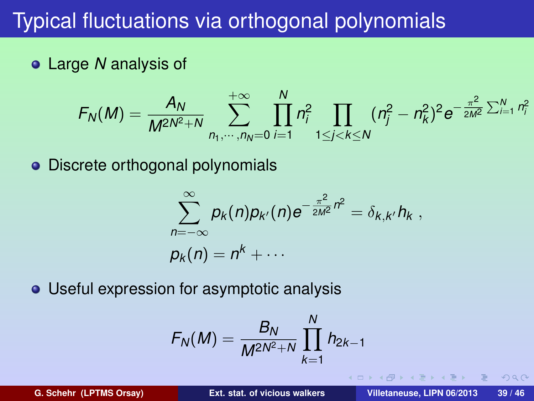## Typical fluctuations via orthogonal polynomials

Large *N* analysis of

$$
F_N(M) = \frac{A_N}{M^{2N^2+N}}\sum_{n_1,\cdots,n_N=0}^{+\infty}\prod_{i=1}^N n_i^2\prod_{1\leq j
$$

• Discrete orthogonal polynomials

$$
\sum_{n=-\infty}^{\infty} p_k(n) p_{k'}(n) e^{-\frac{\pi^2}{2M^2}n^2} = \delta_{k,k'} h_k,
$$
  

$$
p_k(n) = n^k + \cdots
$$

Useful expression for asymptotic analysis

$$
F_N(M) = \frac{B_N}{M^{2N^2+N}} \prod_{k=1}^N h_{2k-1}
$$

 $\Omega$ 

∢ 何 ゝ ∢ ヨ ゝ ∢ ヨ ゝ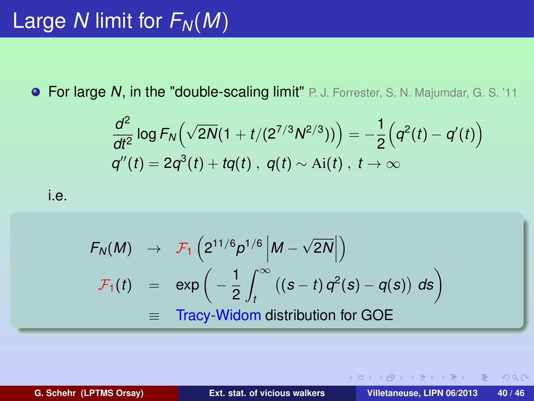For large *N*, in the "double-scaling limit" P. J. Forrester, S. N. Majumdar, G. S. '11

$$
\frac{d^2}{dt^2} \log F_N(\sqrt{2N}(1+t/(2^{7/3}N^{2/3}))\big) = -\frac{1}{2}(q^2(t) - q'(t))
$$
  
 
$$
q''(t) = 2q^3(t) + tq(t), q(t) \sim Ai(t), t \to \infty
$$

i.e.

$$
F_N(M) \rightarrow \mathcal{F}_1\left(2^{11/6}p^{1/6}\left|M-\sqrt{2N}\right|\right)
$$
  

$$
\mathcal{F}_1(t) = \exp\left(-\frac{1}{2}\int_t^\infty ((s-t)q^2(s)-q(s)) ds\right)
$$
  

$$
\equiv \text{Tracy-Widom distribution for GOE}
$$

 $PQQ$ 

**K ロ ト K 伺 ト K ヨ ト K ヨ ト**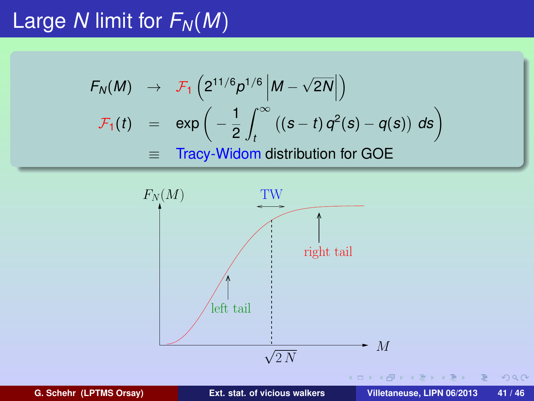# Large *N* limit for  $F_N(M)$

$$
F_N(M) \rightarrow \mathcal{F}_1\left(2^{11/6}p^{1/6}\middle|M-\sqrt{2N}\middle|\right)
$$
  

$$
\mathcal{F}_1(t) = \exp\left(-\frac{1}{2}\int_t^\infty ((s-t)q^2(s)-q(s)) ds\right)
$$
  

$$
\equiv \text{Tracy-Widom distribution for GOE}
$$



**G. Schehr (LPTMS Orsay) [Ext. stat. of vicious walkers](#page-0-0) Villetaneuse, LIPN 06/2013 41 / 46**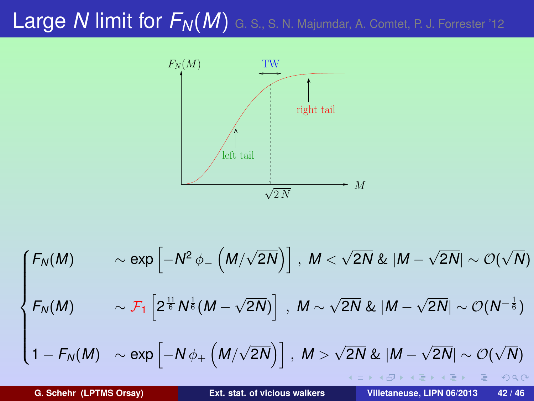# Large *N* limit for  $F_N(M)$  G. S., S. N. Majumdar, A. Comtet, P. J. Forrester '12



$$
\begin{cases}\nF_N(M) & \sim \exp\left[-N^2 \phi_{-}\left(M/\sqrt{2N}\right)\right], \ M < \sqrt{2N} \& |M - \sqrt{2N}| \sim \mathcal{O}(\sqrt{N}) \\
F_N(M) & \sim \mathcal{F}_1\left[2^{\frac{11}{6}} N^{\frac{1}{6}} (M - \sqrt{2N})\right], \ M \sim \sqrt{2N} \& |M - \sqrt{2N}| \sim \mathcal{O}(N^{-\frac{1}{6}})\n\end{cases}
$$
\n
$$
1 - F_N(M) \sim \exp\left[-N\phi_{+}\left(M/\sqrt{2N}\right)\right], \ M > \sqrt{2N} \& |M - \sqrt{2N}| \sim \mathcal{O}(\sqrt{N})
$$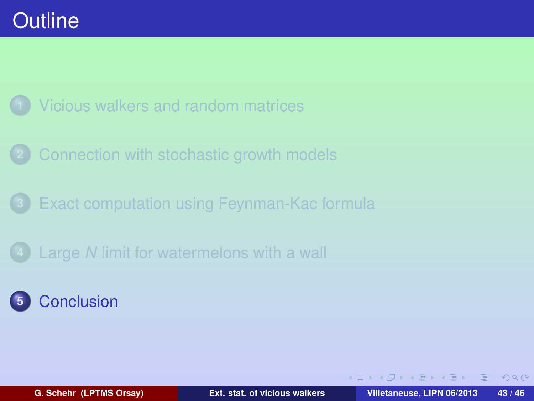

- **2** [Connection with stochastic growth models](#page-34-0)
- **3** [Exact computation using Feynman-Kac formula](#page-44-0)
- **4** Large *N* [limit for watermelons with a wall](#page-55-0)

### **5** [Conclusion](#page-61-0)

<span id="page-61-0"></span> $PQQ$ 

 $\left\{ \begin{array}{ccc} 1 & 0 & 0 \\ 0 & 1 & 0 \end{array} \right\}$  ,  $\left\{ \begin{array}{ccc} 0 & 0 & 0 \\ 0 & 0 & 0 \end{array} \right\}$  ,  $\left\{ \begin{array}{ccc} 0 & 0 & 0 \\ 0 & 0 & 0 \end{array} \right\}$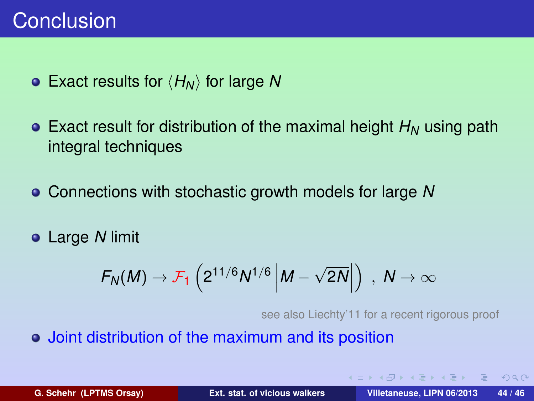### Conclusion

- Exact results for  $\langle H_N \rangle$  for large N
- Exact result for distribution of the maximal height  $H_N$  using path integral techniques
- Connections with stochastic growth models for large *N*
- Large *N* limit

$$
F_N(M) \to \mathcal{F}_1\left(2^{11/6}N^{1/6}\left|M-\sqrt{2N}\right|\right) , N \to \infty
$$

see also Liechty'11 for a recent rigorous proof

**K ロ ト K 伺 ト K ヨ ト K ヨ ト** 

Joint distribution of the maximum and its position

 $A$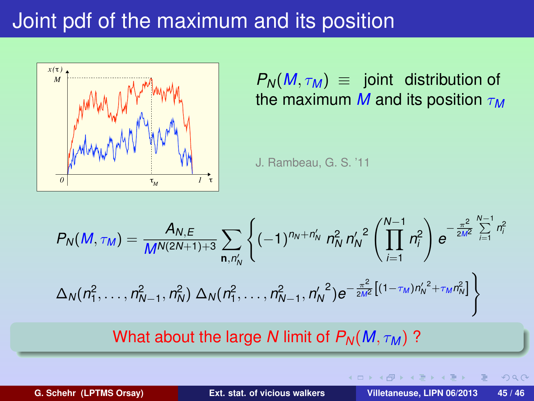## Joint pdf of the maximum and its position



 $P_N(M, \tau_M) \equiv$  joint distribution of the maximum *M* and its position τ*<sup>M</sup>*

J. Rambeau, G. S. '11

$$
P_N(M, \tau_M) = \frac{A_{N,E}}{M^{N(2N+1)+3}} \sum_{\mathbf{n}, n'_N} \left\{ (-1)^{n_N + n'_N} n_N^2 n'_N^2 \left( \prod_{i=1}^{N-1} n_i^2 \right) e^{-\frac{\pi^2}{2M^2} \sum_{i=1}^{N-1} n_i^2} \right\}
$$

$$
\Delta_N(n_1^2, \dots, n_{N-1}^2, n_N^2) \Delta_N(n_1^2, \dots, n_{N-1}^2, n'_N^2) e^{-\frac{\pi^2}{2M^2} \left[ (1 - \tau_M) n'_N^2 + \tau_M n_N^2 \right]} \right\}
$$

#### What about the large *N* limit of  $P_N(M, \tau_M)$ ?

 $200$ 

**K ロ ト K 伺 ト K ヨ ト K ヨ**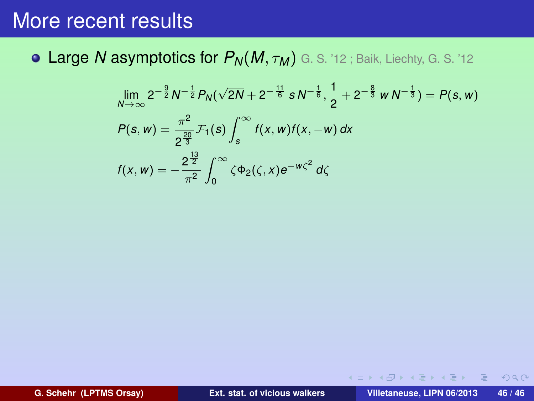Large *N* asymptotics for *PN*(*M*, τ*<sup>M</sup>* ) G. S. '12 ; Baik, Liechty, G. S. '12

$$
\lim_{N \to \infty} 2^{-\frac{9}{2}} N^{-\frac{1}{2}} P_N(\sqrt{2N} + 2^{-\frac{11}{6}} s N^{-\frac{1}{6}}, \frac{1}{2} + 2^{-\frac{8}{3}} w N^{-\frac{1}{3}}) = P(s, w)
$$
  
\n
$$
P(s, w) = \frac{\pi^2}{2^{\frac{20}{3}}} \mathcal{F}_1(s) \int_s^{\infty} f(x, w) f(x, -w) dx
$$
  
\n
$$
f(x, w) = -\frac{2^{\frac{13}{2}}}{\pi^2} \int_0^{\infty} \zeta \Phi_2(\zeta, x) e^{-w\zeta^2} d\zeta
$$

 $OQ$ 

イロト イ押 トイヨ トイヨ トーヨ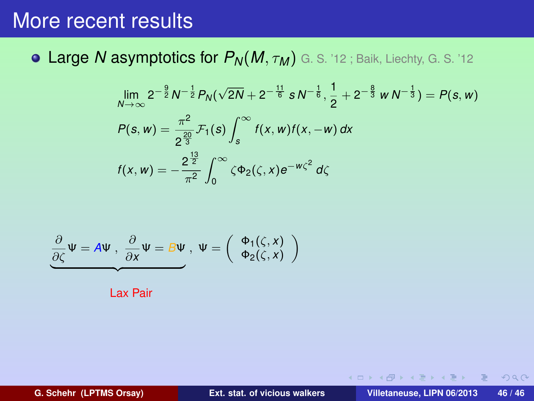Large *N* asymptotics for *PN*(*M*, τ*<sup>M</sup>* ) G. S. '12 ; Baik, Liechty, G. S. '12

$$
\lim_{N \to \infty} 2^{-\frac{9}{2}} N^{-\frac{1}{2}} P_N(\sqrt{2N} + 2^{-\frac{11}{6}} s N^{-\frac{1}{6}}, \frac{1}{2} + 2^{-\frac{8}{3}} w N^{-\frac{1}{3}}) = P(s, w)
$$
  
\n
$$
P(s, w) = \frac{\pi^2}{2^{\frac{20}{3}}} \mathcal{F}_1(s) \int_s^{\infty} f(x, w) f(x, -w) dx
$$
  
\n
$$
f(x, w) = -\frac{2^{\frac{13}{2}}}{\pi^2} \int_0^{\infty} \zeta \Phi_2(\zeta, x) e^{-w\zeta^2} d\zeta
$$

$$
\frac{\partial}{\partial \zeta} \Psi = A \Psi , \frac{\partial}{\partial x} \Psi = B \Psi , \Psi = \begin{pmatrix} \Phi_1(\zeta, x) \\ \Phi_2(\zeta, x) \end{pmatrix}
$$

Lax Pair

 $2Q$ 

イロト イ押 トイヨ トイヨ トーヨ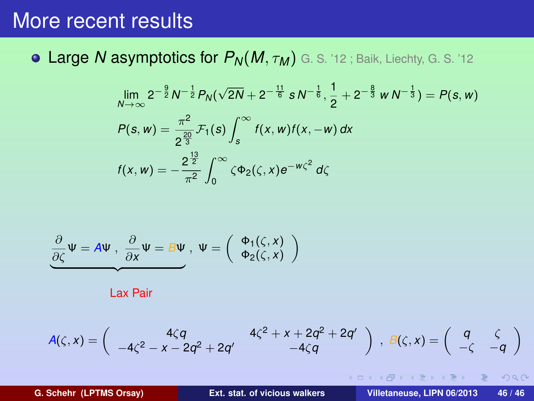Large *N* asymptotics for *PN*(*M*, τ*<sup>M</sup>* ) G. S. '12 ; Baik, Liechty, G. S. '12

$$
\lim_{N \to \infty} 2^{-\frac{9}{2}} N^{-\frac{1}{2}} P_N(\sqrt{2N} + 2^{-\frac{11}{6}} s N^{-\frac{1}{6}}, \frac{1}{2} + 2^{-\frac{8}{3}} w N^{-\frac{1}{3}}) = P(s, w)
$$
  
\n
$$
P(s, w) = \frac{\pi^2}{2^{\frac{20}{3}}} \mathcal{F}_1(s) \int_s^{\infty} f(x, w) f(x, -w) dx
$$
  
\n
$$
f(x, w) = -\frac{2^{\frac{13}{2}}}{\pi^2} \int_0^{\infty} \zeta \Phi_2(\zeta, x) e^{-w\zeta^2} d\zeta
$$

$$
\underbrace{\frac{\partial}{\partial \zeta}\Psi = A\Psi \ , \ \frac{\partial}{\partial x}\Psi = B\Psi \ , \ \Psi = \left( \begin{array}{c} \Phi_1(\zeta, x) \\ \Phi_2(\zeta, x) \end{array} \right)
$$

Lax Pair

$$
A(\zeta,x)=\left(\begin{array}{cc}4\zeta q & 4\zeta^2+x+2q^2+2q'\\-4\zeta^2-x-2q^2+2q'& -4\zeta q\end{array}\right)\ ,\ B(\zeta,x)=\left(\begin{array}{cc}q & \zeta\\-\zeta & -q\end{array}\right)
$$

 $\equiv$ 

 $2Q$ 

 $\left\{ \begin{array}{ccc} 1 & 1 & 1 & 1 \\ 1 & 1 & 1 & 1 \end{array} \right.$